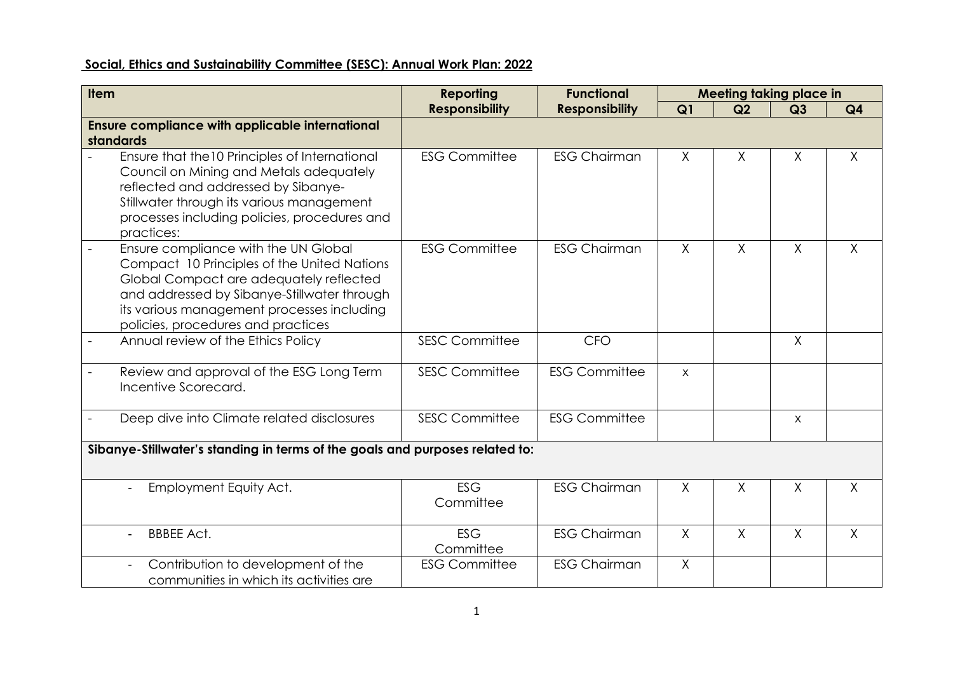## **Social, Ethics and Sustainability Committee (SESC): Annual Work Plan: 2022**

| <b>Item</b>                                                                                                                                                                                                                                                       | <b>Functional</b><br><b>Reporting</b> |                       |          |              | <b>Meeting taking place in</b> |                |  |  |  |  |
|-------------------------------------------------------------------------------------------------------------------------------------------------------------------------------------------------------------------------------------------------------------------|---------------------------------------|-----------------------|----------|--------------|--------------------------------|----------------|--|--|--|--|
|                                                                                                                                                                                                                                                                   | <b>Responsibility</b>                 | <b>Responsibility</b> | Q1       | Q2           | Q3                             | Q <sub>4</sub> |  |  |  |  |
| <b>Ensure compliance with applicable international</b>                                                                                                                                                                                                            |                                       |                       |          |              |                                |                |  |  |  |  |
| standards                                                                                                                                                                                                                                                         |                                       |                       |          |              |                                |                |  |  |  |  |
| Ensure that the 10 Principles of International<br>Council on Mining and Metals adequately<br>reflected and addressed by Sibanye-<br>Stillwater through its various management<br>processes including policies, procedures and<br>practices:                       | <b>ESG Committee</b>                  | <b>ESG Chairman</b>   | $\sf X$  | $\times$     | X                              | $\mathsf{X}$   |  |  |  |  |
| Ensure compliance with the UN Global<br>Compact 10 Principles of the United Nations<br>Global Compact are adequately reflected<br>and addressed by Sibanye-Stillwater through<br>its various management processes including<br>policies, procedures and practices | <b>ESG Committee</b>                  | <b>ESG Chairman</b>   | $\sf X$  | $\sf X$      | $\sf X$                        | $\mathsf{X}$   |  |  |  |  |
| Annual review of the Ethics Policy<br>$\overline{a}$                                                                                                                                                                                                              | <b>SESC Committee</b>                 | <b>CFO</b>            |          |              | $\sf X$                        |                |  |  |  |  |
| Review and approval of the ESG Long Term<br>Incentive Scorecard.                                                                                                                                                                                                  | <b>SESC Committee</b>                 | <b>ESG Committee</b>  | $\times$ |              |                                |                |  |  |  |  |
| Deep dive into Climate related disclosures                                                                                                                                                                                                                        | <b>SESC Committee</b>                 | <b>ESG Committee</b>  |          |              | X                              |                |  |  |  |  |
| Sibanye-Stillwater's standing in terms of the goals and purposes related to:                                                                                                                                                                                      |                                       |                       |          |              |                                |                |  |  |  |  |
| Employment Equity Act.                                                                                                                                                                                                                                            | <b>ESG</b><br>Committee               | <b>ESG Chairman</b>   | $\sf X$  | X            | X                              | Χ              |  |  |  |  |
| <b>BBBEE Act.</b>                                                                                                                                                                                                                                                 | <b>ESG</b><br>Committee               | <b>ESG Chairman</b>   | $\sf X$  | $\mathsf{X}$ | $\sf X$                        | $\mathsf{X}$   |  |  |  |  |
| Contribution to development of the<br>communities in which its activities are                                                                                                                                                                                     | <b>ESG Committee</b>                  | <b>ESG Chairman</b>   | $\sf X$  |              |                                |                |  |  |  |  |